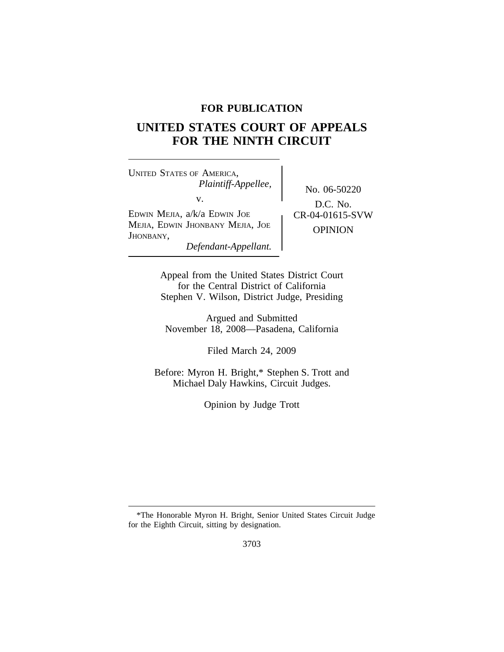# **FOR PUBLICATION**

# **UNITED STATES COURT OF APPEALS FOR THE NINTH CIRCUIT**

<sup>U</sup>NITED STATES OF AMERICA, *Plaintiff-Appellee,* No. 06-50220<br>v. EDWIN MEJIA,  $a/k/a$  EDWIN JOE  $\qquad \qquad$  CR-04-01615-SVW MEJIA, EDWIN JHONBANY MEJIA, JOE **OPINION**<br>JHONBANY, *Defendant-Appellant.*

D.C. No.

Appeal from the United States District Court for the Central District of California Stephen V. Wilson, District Judge, Presiding

Argued and Submitted November 18, 2008—Pasadena, California

Filed March 24, 2009

Before: Myron H. Bright,\* Stephen S. Trott and Michael Daly Hawkins, Circuit Judges.

Opinion by Judge Trott

<sup>\*</sup>The Honorable Myron H. Bright, Senior United States Circuit Judge for the Eighth Circuit, sitting by designation.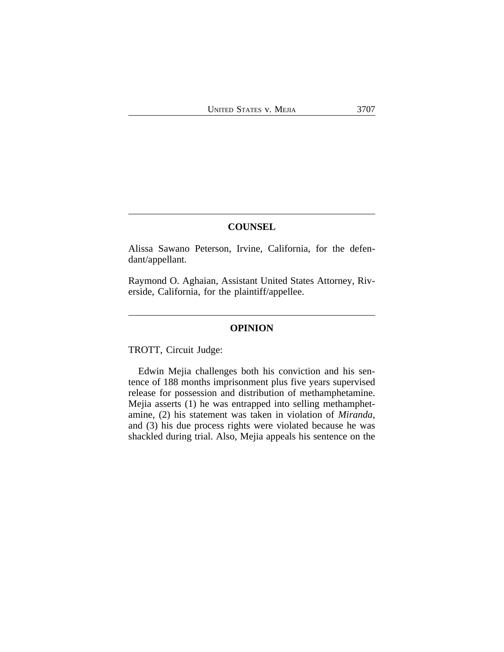# **COUNSEL**

Alissa Sawano Peterson, Irvine, California, for the defendant/appellant.

Raymond O. Aghaian, Assistant United States Attorney, Riverside, California, for the plaintiff/appellee.

## **OPINION**

TROTT, Circuit Judge:

Edwin Mejia challenges both his conviction and his sentence of 188 months imprisonment plus five years supervised release for possession and distribution of methamphetamine. Mejia asserts (1) he was entrapped into selling methamphetamine, (2) his statement was taken in violation of *Miranda*, and (3) his due process rights were violated because he was shackled during trial. Also, Mejia appeals his sentence on the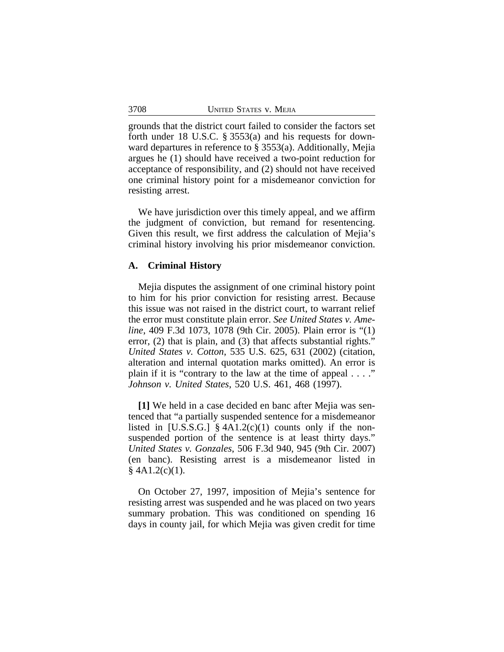grounds that the district court failed to consider the factors set forth under 18 U.S.C. § 3553(a) and his requests for downward departures in reference to § 3553(a). Additionally, Mejia argues he (1) should have received a two-point reduction for acceptance of responsibility, and (2) should not have received one criminal history point for a misdemeanor conviction for resisting arrest.

We have jurisdiction over this timely appeal, and we affirm the judgment of conviction, but remand for resentencing. Given this result, we first address the calculation of Mejia's criminal history involving his prior misdemeanor conviction.

### **A. Criminal History**

Mejia disputes the assignment of one criminal history point to him for his prior conviction for resisting arrest. Because this issue was not raised in the district court, to warrant relief the error must constitute plain error. *See United States v. Ameline*, 409 F.3d 1073, 1078 (9th Cir. 2005). Plain error is "(1) error, (2) that is plain, and (3) that affects substantial rights." *United States v. Cotton*, 535 U.S. 625, 631 (2002) (citation, alteration and internal quotation marks omitted). An error is plain if it is "contrary to the law at the time of appeal  $\dots$ " *Johnson v. United States*, 520 U.S. 461, 468 (1997).

**[1]** We held in a case decided en banc after Mejia was sentenced that "a partially suspended sentence for a misdemeanor listed in [U.S.S.G.]  $§$  4A1.2(c)(1) counts only if the nonsuspended portion of the sentence is at least thirty days." *United States v. Gonzales*, 506 F.3d 940, 945 (9th Cir. 2007) (en banc). Resisting arrest is a misdemeanor listed in  $§$  4A1.2(c)(1).

On October 27, 1997, imposition of Mejia's sentence for resisting arrest was suspended and he was placed on two years summary probation. This was conditioned on spending 16 days in county jail, for which Mejia was given credit for time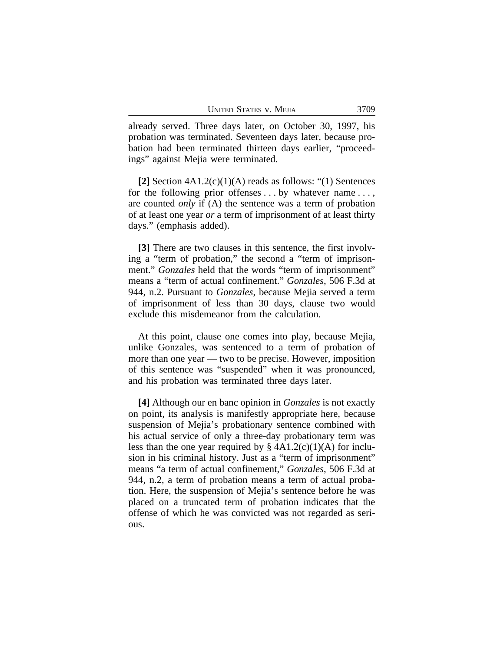already served. Three days later, on October 30, 1997, his probation was terminated. Seventeen days later, because probation had been terminated thirteen days earlier, "proceedings" against Mejia were terminated.

**[2]** Section 4A1.2(c)(1)(A) reads as follows: "(1) Sentences for the following prior offenses ... by whatever name ..., are counted *only* if (A) the sentence was a term of probation of at least one year *or* a term of imprisonment of at least thirty days." (emphasis added).

**[3]** There are two clauses in this sentence, the first involving a "term of probation," the second a "term of imprisonment." *Gonzales* held that the words "term of imprisonment" means a "term of actual confinement." *Gonzales*, 506 F.3d at 944, n.2. Pursuant to *Gonzales*, because Mejia served a term of imprisonment of less than 30 days, clause two would exclude this misdemeanor from the calculation.

At this point, clause one comes into play, because Mejia, unlike Gonzales, was sentenced to a term of probation of more than one year — two to be precise. However, imposition of this sentence was "suspended" when it was pronounced, and his probation was terminated three days later.

**[4]** Although our en banc opinion in *Gonzales* is not exactly on point, its analysis is manifestly appropriate here, because suspension of Mejia's probationary sentence combined with his actual service of only a three-day probationary term was less than the one year required by  $\S$  4A1.2(c)(1)(A) for inclusion in his criminal history. Just as a "term of imprisonment" means "a term of actual confinement," *Gonzales*, 506 F.3d at 944, n.2, a term of probation means a term of actual probation. Here, the suspension of Mejia's sentence before he was placed on a truncated term of probation indicates that the offense of which he was convicted was not regarded as serious.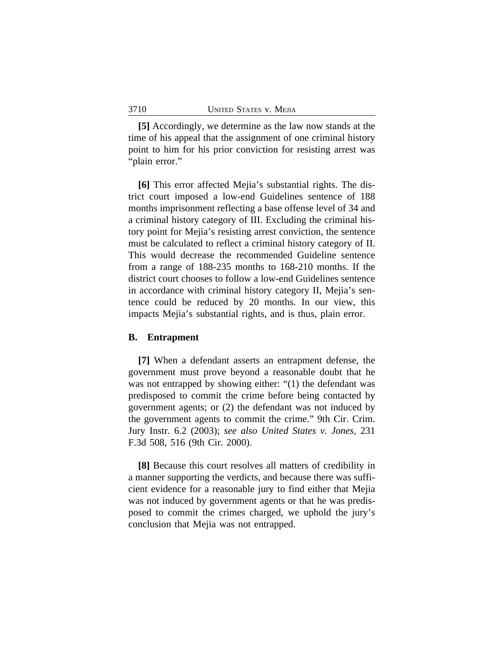**[5]** Accordingly, we determine as the law now stands at the time of his appeal that the assignment of one criminal history point to him for his prior conviction for resisting arrest was "plain error."

**[6]** This error affected Mejia's substantial rights. The district court imposed a low-end Guidelines sentence of 188 months imprisonment reflecting a base offense level of 34 and a criminal history category of III. Excluding the criminal history point for Mejia's resisting arrest conviction, the sentence must be calculated to reflect a criminal history category of II. This would decrease the recommended Guideline sentence from a range of 188-235 months to 168-210 months. If the district court chooses to follow a low-end Guidelines sentence in accordance with criminal history category II, Mejia's sentence could be reduced by 20 months. In our view, this impacts Mejia's substantial rights, and is thus, plain error.

## **B. Entrapment**

**[7]** When a defendant asserts an entrapment defense, the government must prove beyond a reasonable doubt that he was not entrapped by showing either: "(1) the defendant was predisposed to commit the crime before being contacted by government agents; or (2) the defendant was not induced by the government agents to commit the crime." 9th Cir. Crim. Jury Instr. 6.2 (2003); *see also United States v. Jones*, 231 F.3d 508, 516 (9th Cir. 2000).

**[8]** Because this court resolves all matters of credibility in a manner supporting the verdicts, and because there was sufficient evidence for a reasonable jury to find either that Mejia was not induced by government agents or that he was predisposed to commit the crimes charged, we uphold the jury's conclusion that Mejia was not entrapped.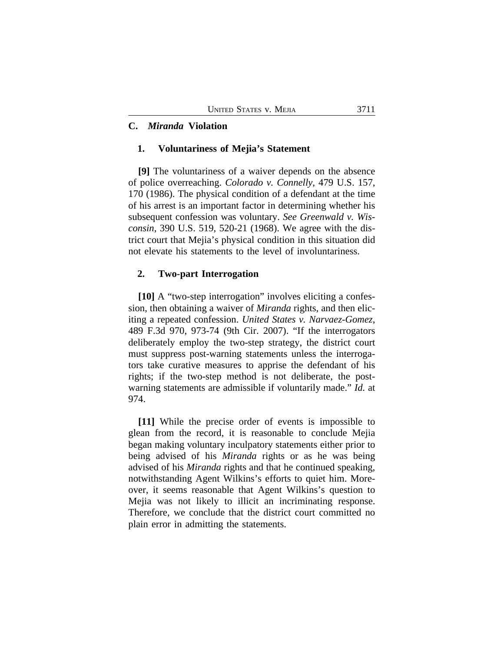# **C.** *Miranda* **Violation**

## **1. Voluntariness of Mejia's Statement**

**[9]** The voluntariness of a waiver depends on the absence of police overreaching. *Colorado v. Connelly*, 479 U.S. 157, 170 (1986). The physical condition of a defendant at the time of his arrest is an important factor in determining whether his subsequent confession was voluntary. *See Greenwald v. Wisconsin*, 390 U.S. 519, 520-21 (1968). We agree with the district court that Mejia's physical condition in this situation did not elevate his statements to the level of involuntariness.

## **2. Two-part Interrogation**

**[10]** A "two-step interrogation" involves eliciting a confession, then obtaining a waiver of *Miranda* rights, and then eliciting a repeated confession. *United States v. Narvaez-Gomez*, 489 F.3d 970, 973-74 (9th Cir. 2007). "If the interrogators deliberately employ the two-step strategy, the district court must suppress post-warning statements unless the interrogators take curative measures to apprise the defendant of his rights; if the two-step method is not deliberate, the postwarning statements are admissible if voluntarily made." *Id.* at 974.

**[11]** While the precise order of events is impossible to glean from the record, it is reasonable to conclude Mejia began making voluntary inculpatory statements either prior to being advised of his *Miranda* rights or as he was being advised of his *Miranda* rights and that he continued speaking, notwithstanding Agent Wilkins's efforts to quiet him. Moreover, it seems reasonable that Agent Wilkins's question to Mejia was not likely to illicit an incriminating response. Therefore, we conclude that the district court committed no plain error in admitting the statements.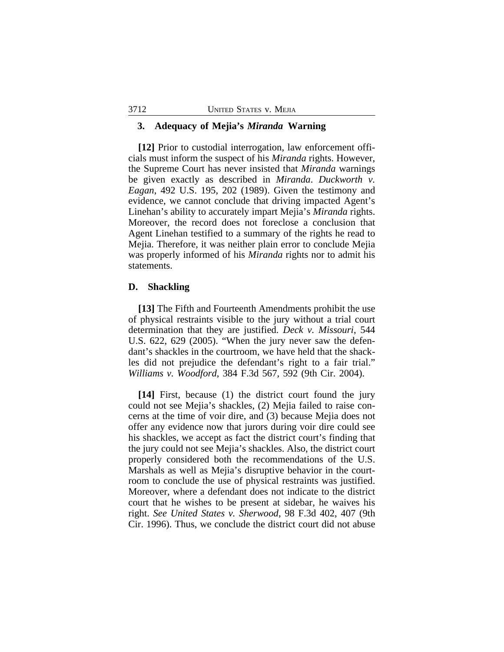#### **3. Adequacy of Mejia's** *Miranda* **Warning**

**[12]** Prior to custodial interrogation, law enforcement officials must inform the suspect of his *Miranda* rights. However, the Supreme Court has never insisted that *Miranda* warnings be given exactly as described in *Miranda*. *Duckworth v. Eagan*, 492 U.S. 195, 202 (1989). Given the testimony and evidence, we cannot conclude that driving impacted Agent's Linehan's ability to accurately impart Mejia's *Miranda* rights. Moreover, the record does not foreclose a conclusion that Agent Linehan testified to a summary of the rights he read to Mejia. Therefore, it was neither plain error to conclude Mejia was properly informed of his *Miranda* rights nor to admit his statements.

## **D. Shackling**

**[13]** The Fifth and Fourteenth Amendments prohibit the use of physical restraints visible to the jury without a trial court determination that they are justified. *Deck v. Missouri*, 544 U.S. 622, 629 (2005). "When the jury never saw the defendant's shackles in the courtroom, we have held that the shackles did not prejudice the defendant's right to a fair trial." *Williams v. Woodford*, 384 F.3d 567, 592 (9th Cir. 2004).

**[14]** First, because (1) the district court found the jury could not see Mejia's shackles, (2) Mejia failed to raise concerns at the time of voir dire, and (3) because Mejia does not offer any evidence now that jurors during voir dire could see his shackles, we accept as fact the district court's finding that the jury could not see Mejia's shackles. Also, the district court properly considered both the recommendations of the U.S. Marshals as well as Mejia's disruptive behavior in the courtroom to conclude the use of physical restraints was justified. Moreover, where a defendant does not indicate to the district court that he wishes to be present at sidebar, he waives his right. *See United States v. Sherwood*, 98 F.3d 402, 407 (9th Cir. 1996). Thus, we conclude the district court did not abuse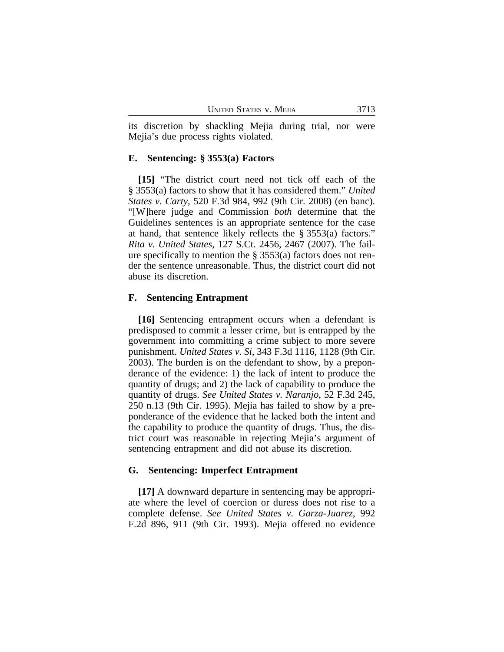its discretion by shackling Mejia during trial, nor were Mejia's due process rights violated.

## **E. Sentencing: § 3553(a) Factors**

**[15]** "The district court need not tick off each of the § 3553(a) factors to show that it has considered them." *United States v. Carty*, 520 F.3d 984, 992 (9th Cir. 2008) (en banc). "[W]here judge and Commission *both* determine that the Guidelines sentences is an appropriate sentence for the case at hand, that sentence likely reflects the § 3553(a) factors." *Rita v. United States*, 127 S.Ct. 2456, 2467 (2007). The failure specifically to mention the § 3553(a) factors does not render the sentence unreasonable. Thus, the district court did not abuse its discretion.

# **F. Sentencing Entrapment**

**[16]** Sentencing entrapment occurs when a defendant is predisposed to commit a lesser crime, but is entrapped by the government into committing a crime subject to more severe punishment. *United States v. Si*, 343 F.3d 1116, 1128 (9th Cir. 2003). The burden is on the defendant to show, by a preponderance of the evidence: 1) the lack of intent to produce the quantity of drugs; and 2) the lack of capability to produce the quantity of drugs. *See United States v. Naranjo*, 52 F.3d 245, 250 n.13 (9th Cir. 1995). Mejia has failed to show by a preponderance of the evidence that he lacked both the intent and the capability to produce the quantity of drugs. Thus, the district court was reasonable in rejecting Mejia's argument of sentencing entrapment and did not abuse its discretion.

# **G. Sentencing: Imperfect Entrapment**

**[17]** A downward departure in sentencing may be appropriate where the level of coercion or duress does not rise to a complete defense. *See United States v. Garza-Juarez*, 992 F.2d 896, 911 (9th Cir. 1993). Mejia offered no evidence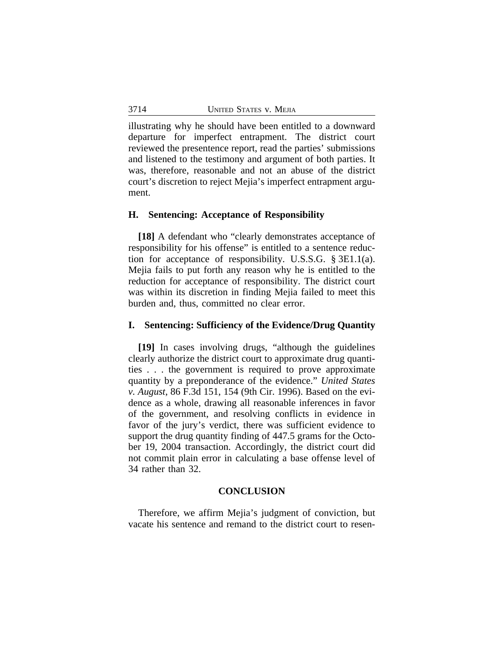illustrating why he should have been entitled to a downward departure for imperfect entrapment. The district court reviewed the presentence report, read the parties' submissions and listened to the testimony and argument of both parties. It was, therefore, reasonable and not an abuse of the district court's discretion to reject Mejia's imperfect entrapment argument.

#### **H. Sentencing: Acceptance of Responsibility**

**[18]** A defendant who "clearly demonstrates acceptance of responsibility for his offense" is entitled to a sentence reduction for acceptance of responsibility. U.S.S.G. § 3E1.1(a). Mejia fails to put forth any reason why he is entitled to the reduction for acceptance of responsibility. The district court was within its discretion in finding Mejia failed to meet this burden and, thus, committed no clear error.

#### **I. Sentencing: Sufficiency of the Evidence/Drug Quantity**

**[19]** In cases involving drugs, "although the guidelines clearly authorize the district court to approximate drug quantities . . . the government is required to prove approximate quantity by a preponderance of the evidence." *United States v. August*, 86 F.3d 151, 154 (9th Cir. 1996). Based on the evidence as a whole, drawing all reasonable inferences in favor of the government, and resolving conflicts in evidence in favor of the jury's verdict, there was sufficient evidence to support the drug quantity finding of 447.5 grams for the October 19, 2004 transaction. Accordingly, the district court did not commit plain error in calculating a base offense level of 34 rather than 32.

#### **CONCLUSION**

Therefore, we affirm Mejia's judgment of conviction, but vacate his sentence and remand to the district court to resen-